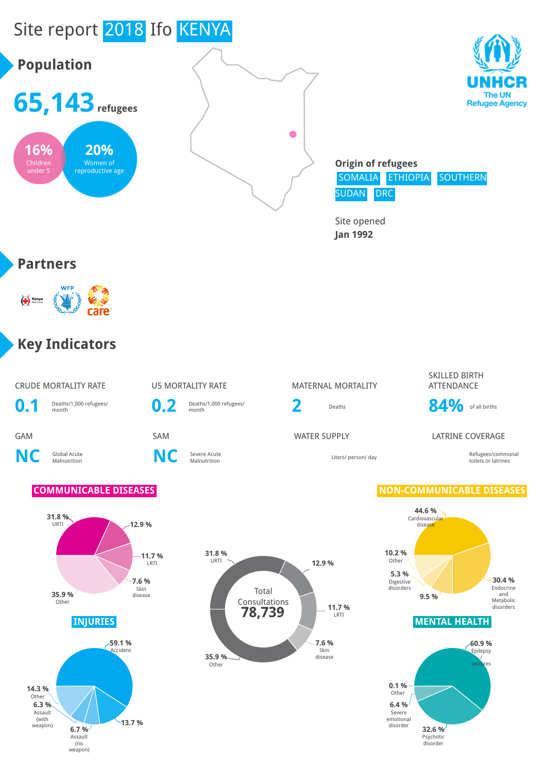



**Origin of refugees** SOMALIA ETHIOPIA SOUTHERN SUDAN DRC

> **32.6 %** Psychotic disorder

**6.4 %** Severe emotional disorder

**0.1 %** Other

Site opened **Jan 1992**

#### **Partners**

under 5

reproductive age



#### **Key Indicators**

**13.7 %**

**6.7 %** Assault (no weapon)

**6.3 %** Assault (with weapon)

**14.3 %** Other

|                | <b>CRUDE MORTALITY RATE</b>                                                                                       |                  | <b>U5 MORTALITY RATE</b>                                            |                     | <b>MATERNAL MORTALITY</b>                 | SKILLED BIRTH<br><b>ATTENDANCE</b>                                                                                                                                                                                  |
|----------------|-------------------------------------------------------------------------------------------------------------------|------------------|---------------------------------------------------------------------|---------------------|-------------------------------------------|---------------------------------------------------------------------------------------------------------------------------------------------------------------------------------------------------------------------|
| $\mathbf{0.1}$ | Deaths/1,000 refugees/<br>month                                                                                   | 0.2              | Deaths/1,000 refugees/<br>month                                     | 2                   | Deaths                                    | 84%<br>of all births                                                                                                                                                                                                |
| <b>GAM</b>     |                                                                                                                   | SAM              |                                                                     | <b>WATER SUPPLY</b> |                                           | <b>LATRINE COVERAGE</b>                                                                                                                                                                                             |
| <b>NC</b>      | Global Acute<br>Malnutrition                                                                                      | <b>NC</b>        | Severe Acute<br>Malnutrition                                        |                     | Liters/ person/ day                       | Refugees/communal<br>toilets or latrines                                                                                                                                                                            |
|                | <b>COMMUNICABLE DISEASES</b>                                                                                      |                  |                                                                     |                     |                                           | <b>NON-COMMUNICABLE DISEASES</b>                                                                                                                                                                                    |
|                | 31.8%<br>$-12.9%$<br>URTI<br>7.6%<br>Skin<br>35.9%<br>disease<br>Other<br><b>INJURIES</b><br>$-59.1%$<br>Accident | $-11.7%$<br>LRTI | 31.8%<br>URTI<br>Total<br>Consultations<br>78,739<br>35.9%<br>Other | 12.9 %              | 11.7%<br>LRTI<br>7.6 %<br>Skin<br>disease | 44.6%<br>Cardiovascular<br>disease<br>10.2%<br>Other<br>5.3%<br>30.4 %<br>Digestive<br>Endocrine<br>disorders<br>and<br>9.5 %<br>Metabolic<br>disorders<br><b>MENTAL HEALTH</b><br>$-60.9%$<br>Epilepsy<br>seizures |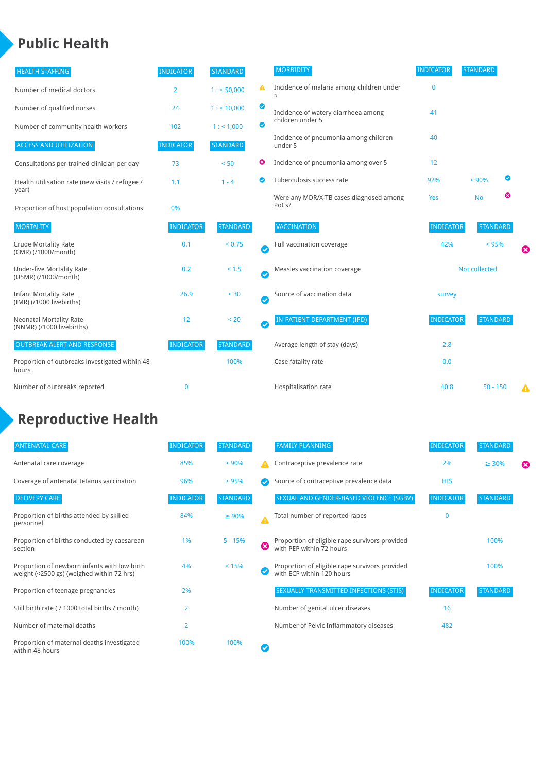## **Public Health**

| <b>HEALTH STAFFING</b>                                      | <b>INDICATOR</b> | <b>STANDARD</b> |           | <b>MORBIDITY</b>                                 | <b>INDICATOR</b> | <b>STANDARD</b> |   |   |
|-------------------------------------------------------------|------------------|-----------------|-----------|--------------------------------------------------|------------------|-----------------|---|---|
| Number of medical doctors                                   | $\overline{2}$   | 1: 50,000       | ▲         | Incidence of malaria among children under        | $\mathbf{0}$     |                 |   |   |
| Number of qualified nurses                                  | 24               | 1:10,000        | ◙         | Incidence of watery diarrhoea among              | 41               |                 |   |   |
| Number of community health workers                          | 102              | 1: 1,000        | ◙         | children under 5                                 |                  |                 |   |   |
| <b>ACCESS AND UTILIZATION</b>                               | <b>INDICATOR</b> | <b>STANDARD</b> |           | Incidence of pneumonia among children<br>under 5 | 40               |                 |   |   |
| Consultations per trained clinician per day                 | 73               | < 50            | ☺         | Incidence of pneumonia among over 5              | 12               |                 |   |   |
| Health utilisation rate (new visits / refugee /             | 1.1              | $1 - 4$         | ◙         | Tuberculosis success rate                        | 92%              | < 90%           | ◙ |   |
| year)<br>Proportion of host population consultations        | 0%               |                 |           | Were any MDR/X-TB cases diagnosed among<br>PoCs? | Yes              | <b>No</b>       | ☺ |   |
| <b>MORTALITY</b>                                            | <b>INDICATOR</b> | <b>STANDARD</b> |           | <b>VACCINATION</b>                               | <b>INDICATOR</b> | <b>STANDARD</b> |   |   |
| <b>Crude Mortality Rate</b><br>(CMR) (/1000/month)          | 0.1              | < 0.75          | $\bullet$ | Full vaccination coverage                        | 42%              | $< 95\%$        |   | Ø |
| <b>Under-five Mortality Rate</b><br>(U5MR) (/1000/month)    | 0.2              | < 1.5           | Ø         | Measles vaccination coverage                     |                  | Not collected   |   |   |
| <b>Infant Mortality Rate</b><br>(IMR) (/1000 livebirths)    | 26.9             | < 30            | $\bullet$ | Source of vaccination data                       | survey           |                 |   |   |
| <b>Neonatal Mortality Rate</b><br>(NNMR) (/1000 livebirths) | 12               | < 20            | $\bullet$ | <b>IN-PATIENT DEPARTMENT (IPD)</b>               | <b>INDICATOR</b> | <b>STANDARD</b> |   |   |
| <b>OUTBREAK ALERT AND RESPONSE</b>                          | <b>INDICATOR</b> | <b>STANDARD</b> |           | Average length of stay (days)                    | 2.8              |                 |   |   |
| Proportion of outbreaks investigated within 48<br>hours     |                  | 100%            |           | Case fatality rate                               | 0.0              |                 |   |   |
| Number of outbreaks reported                                | $\mathbf 0$      |                 |           | Hospitalisation rate                             | 40.8             | $50 - 150$      |   | Δ |

# **Reproductive Health**

| <b>ANTENATAL CARE</b>                                                                     | <b>INDICATOR</b> | <b>STANDARD</b> |                  | <b>FAMILY PLANNING</b>                                                      | <b>INDICATOR</b> | <b>STANDARD</b> |   |
|-------------------------------------------------------------------------------------------|------------------|-----------------|------------------|-----------------------------------------------------------------------------|------------------|-----------------|---|
| Antenatal care coverage                                                                   | 85%              | > 90%           |                  | Contraceptive prevalence rate                                               | 2%               | $\geq 30\%$     | ظ |
| Coverage of antenatal tetanus vaccination                                                 | 96%              | > 95%           |                  | Source of contraceptive prevalence data                                     | <b>HIS</b>       |                 |   |
| <b>DELIVERY CARE</b>                                                                      | <b>INDICATOR</b> | <b>STANDARD</b> |                  | SEXUAL AND GENDER-BASED VIOLENCE (SGBV)                                     | <b>INDICATOR</b> | <b>STANDARD</b> |   |
| Proportion of births attended by skilled<br>personnel                                     | 84%              | $\geq 90\%$     | $\blacktriangle$ | Total number of reported rapes                                              | $\mathbf{0}$     |                 |   |
| Proportion of births conducted by caesarean<br>section                                    | 1%               | $5 - 15%$       | ☺                | Proportion of eligible rape survivors provided<br>with PEP within 72 hours  |                  | 100%            |   |
| Proportion of newborn infants with low birth<br>weight (<2500 gs) (weighed within 72 hrs) | 4%               | < 15%           |                  | Proportion of eligible rape survivors provided<br>with ECP within 120 hours |                  | 100%            |   |
| Proportion of teenage pregnancies                                                         | 2%               |                 |                  | SEXUALLY TRANSMITTED INFECTIONS (STIS)                                      | <b>INDICATOR</b> | <b>STANDARD</b> |   |
| Still birth rate (/ 1000 total births / month)                                            | $\overline{2}$   |                 |                  | Number of genital ulcer diseases                                            | 16               |                 |   |
| Number of maternal deaths                                                                 | $\overline{2}$   |                 |                  | Number of Pelvic Inflammatory diseases                                      | 482              |                 |   |
| Proportion of maternal deaths investigated<br>within 48 hours                             | 100%             | 100%            |                  |                                                                             |                  |                 |   |